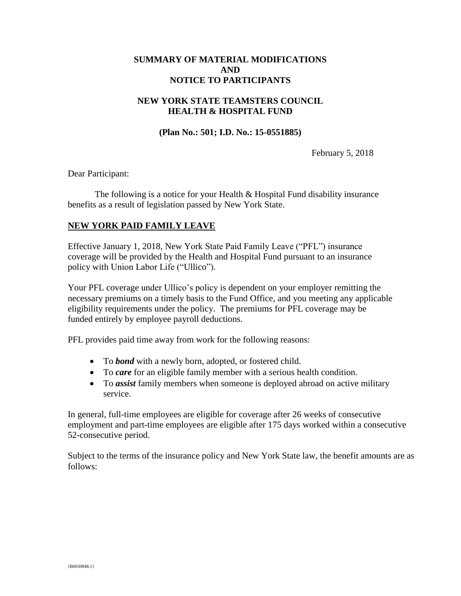### **SUMMARY OF MATERIAL MODIFICATIONS AND NOTICE TO PARTICIPANTS**

#### **NEW YORK STATE TEAMSTERS COUNCIL HEALTH & HOSPITAL FUND**

**(Plan No.: 501; I.D. No.: 15-0551885)**

February 5, 2018

Dear Participant:

The following is a notice for your Health & Hospital Fund disability insurance benefits as a result of legislation passed by New York State.

#### **NEW YORK PAID FAMILY LEAVE**

Effective January 1, 2018, New York State Paid Family Leave ("PFL") insurance coverage will be provided by the Health and Hospital Fund pursuant to an insurance policy with Union Labor Life ("Ullico").

Your PFL coverage under Ullico's policy is dependent on your employer remitting the necessary premiums on a timely basis to the Fund Office, and you meeting any applicable eligibility requirements under the policy. The premiums for PFL coverage may be funded entirely by employee payroll deductions.

PFL provides paid time away from work for the following reasons:

- To *bond* with a newly born, adopted, or fostered child.
- To *care* for an eligible family member with a serious health condition.
- To *assist* family members when someone is deployed abroad on active military service.

In general, full-time employees are eligible for coverage after 26 weeks of consecutive employment and part-time employees are eligible after 175 days worked within a consecutive 52-consecutive period.

Subject to the terms of the insurance policy and New York State law, the benefit amounts are as follows: